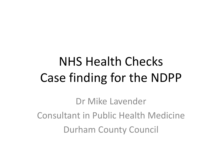# NHS Health Checks Case finding for the NDPP

Dr Mike Lavender Consultant in Public Health Medicine Durham County Council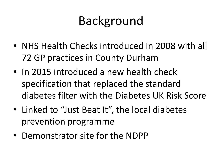# Background

- NHS Health Checks introduced in 2008 with all 72 GP practices in County Durham
- In 2015 introduced a new health check specification that replaced the standard diabetes filter with the Diabetes UK Risk Score
- Linked to "Just Beat It", the local diabetes prevention programme
- Demonstrator site for the NDPP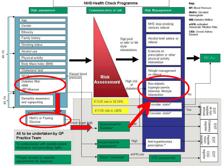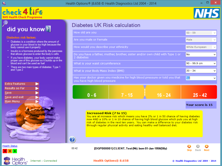### check 4 Life **NHS Health Check Programme**

### **NHS**

▭

×

### did you know ?

**Diabetes risk factors:** 

- \* Diabetes is a condition where the amount of glucose in your blood is too high because the body cannot use it properly
- \* Insulin is a hormone produced by the pancreas that allows glucose to enter the body's cells
- \* If you have diabetes, your body cannot make<br>proper use of this glucose so it builds up in the blood and can't be used as fuel
- There are two main types of diabetes: Type 1 and Type 2



### Diabetes UK Risk calculation

| How old are you                                                                                             | $50 - 59$      |           |                  |  |
|-------------------------------------------------------------------------------------------------------------|----------------|-----------|------------------|--|
| Are you male or Female                                                                                      | Male           |           |                  |  |
| How would you describe your ethnicity                                                                       | White European |           |                  |  |
| Do you have a father, mother, brother, sister and/or own child with Type 1 or<br>2 diabetes                 | No             |           |                  |  |
| What is your waist circumference                                                                            |                |           | 90 - 99.9 cm     |  |
| What is your Body Mass Index (BMI)                                                                          |                |           | $30 - 34$        |  |
| Has your doctor given you medicine for high blood pressure or told you that<br>you have high blood pressure |                |           | No               |  |
|                                                                                                             |                |           |                  |  |
| $0 - 6$                                                                                                     | $7 - 15$       | $16 - 24$ | $25 - 42$        |  |
|                                                                                                             |                |           | Your score is 15 |  |



00:42

#### [DGP000001] CLIENT, Test (Mr). born 01-Jan-1956(58y)





Internet : Connected

Health Options® 8.65B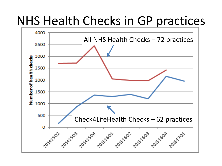### NHS Health Checks in GP practices

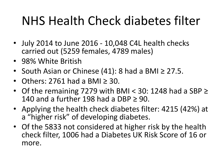### NHS Health Check diabetes filter

- July 2014 to June 2016 10,048 C4L health checks carried out (5259 females, 4789 males)
- 98% White British
- South Asian or Chinese  $(41)$ : 8 had a BMI  $\geq$  27.5.
- Others: 2761 had a BMI  $\geq$  30.
- Of the remaining 7279 with BMI < 30: 1248 had a SBP  $\geq$ 140 and a further 198 had a DBP  $\geq$  90.
- Applying the health check diabetes filter: 4215 (42%) at a "higher risk" of developing diabetes.
- Of the 5833 not considered at higher risk by the health check filter, 1006 had a Diabetes UK Risk Score of 16 or more.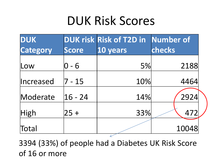### DUK Risk Scores

| <b>DUK</b><br><b>Category</b> | <b>Score</b> | DUK risk Risk of T2D in Number of<br>10 years | checks |
|-------------------------------|--------------|-----------------------------------------------|--------|
| Low                           | $ 0 - 6 $    | <b>5%</b>                                     | 2188   |
| Increased                     | 7 - 15       | 10%                                           | 4464   |
| Moderate                      | $ 16 - 24$   | 14%                                           | 2924   |
| High                          | $ 25 +$      | 33%                                           | 472    |
| Total                         |              |                                               | 10048  |

3394 (33%) of people had a Diabetes UK Risk Score of 16 or more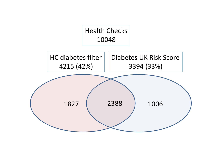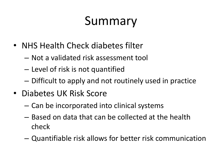# Summary

- NHS Health Check diabetes filter
	- Not a validated risk assessment tool
	- Level of risk is not quantified
	- Difficult to apply and not routinely used in practice
- Diabetes UK Risk Score
	- Can be incorporated into clinical systems
	- Based on data that can be collected at the health check
	- Quantifiable risk allows for better risk communication